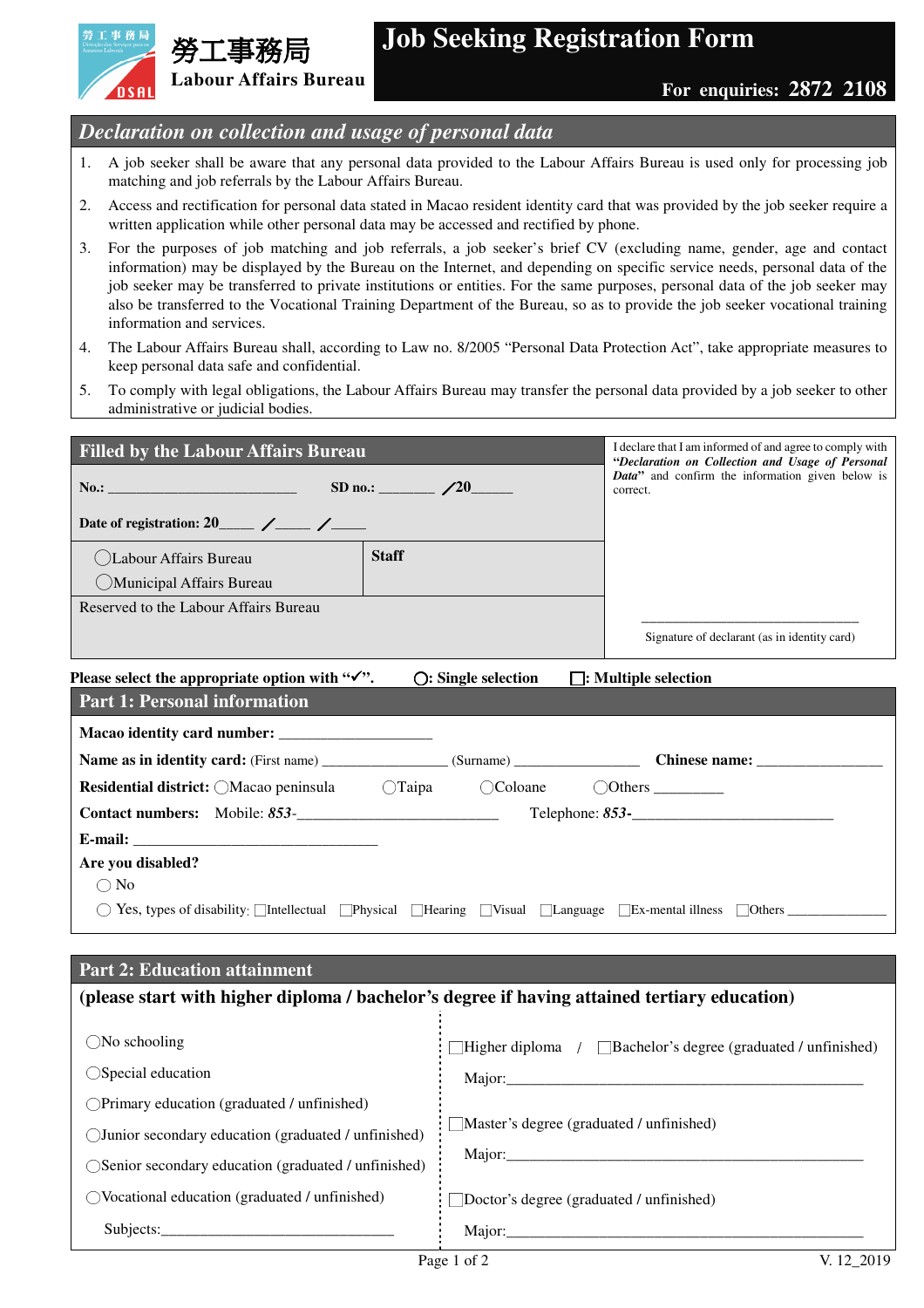



## *Declaration on collection and usage of personal data*

「丁事務

**Labour Affairs Bureau**

- 1. A job seeker shall be aware that any personal data provided to the Labour Affairs Bureau is used only for processing job matching and job referrals by the Labour Affairs Bureau.
- 2. Access and rectification for personal data stated in Macao resident identity card that was provided by the job seeker require a written application while other personal data may be accessed and rectified by phone.
- 3. For the purposes of job matching and job referrals, a job seeker's brief CV (excluding name, gender, age and contact information) may be displayed by the Bureau on the Internet, and depending on specific service needs, personal data of the job seeker may be transferred to private institutions or entities. For the same purposes, personal data of the job seeker may also be transferred to the Vocational Training Department of the Bureau, so as to provide the job seeker vocational training information and services.
- 4. The Labour Affairs Bureau shall, according to Law no. 8/2005 "Personal Data Protection Act", take appropriate measures to keep personal data safe and confidential.
- 5. To comply with legal obligations, the Labour Affairs Bureau may transfer the personal data provided by a job seeker to other administrative or judicial bodies.

| <b>Filled by the Labour Affairs Bureau</b> | I declare that I am informed of and agree to comply with<br>"Declaration on Collection and Usage of Personal |                                                                      |
|--------------------------------------------|--------------------------------------------------------------------------------------------------------------|----------------------------------------------------------------------|
| SD no.: $\angle 20$                        |                                                                                                              | <b>Data</b> " and confirm the information given below is<br>correct. |
|                                            |                                                                                                              |                                                                      |
| Labour Affairs Bureau                      | <b>Staff</b>                                                                                                 |                                                                      |
| Municipal Affairs Bureau                   |                                                                                                              |                                                                      |
| Reserved to the Labour Affairs Bureau      |                                                                                                              |                                                                      |
|                                            |                                                                                                              | Signature of declarant (as in identity card)                         |

## **Please select the appropriate option with "".** ○**: Single selection** □**: Multiple selection Part 1: Personal information**

| <b>Residential district:</b> $\bigcirc$ Macao peninsula | $\bigcap$ Taipa | (Coloane) |                                                                                                                   |
|---------------------------------------------------------|-----------------|-----------|-------------------------------------------------------------------------------------------------------------------|
|                                                         |                 |           |                                                                                                                   |
|                                                         |                 |           |                                                                                                                   |
| Are you disabled?                                       |                 |           |                                                                                                                   |
| $\bigcirc$ No                                           |                 |           |                                                                                                                   |
|                                                         |                 |           | () Yes, types of disability:   Intellectual   Physical   Hearing   Visual   Language   Ex-mental illness   Others |

| <b>Part 2: Education attainment</b>                                                          |                                                                              |  |  |  |
|----------------------------------------------------------------------------------------------|------------------------------------------------------------------------------|--|--|--|
| (please start with higher diploma / bachelor's degree if having attained tertiary education) |                                                                              |  |  |  |
| $\bigcirc$ No schooling                                                                      | $\exists$ Higher diploma / $\Box$ Bachelor's degree (graduated / unfinished) |  |  |  |
| $\bigcirc$ Special education                                                                 |                                                                              |  |  |  |
| $\bigcirc$ Primary education (graduated / unfinished)                                        |                                                                              |  |  |  |
| ◯ Junior secondary education (graduated / unfinished)                                        | Master's degree (graduated / unfinished)                                     |  |  |  |
| ◯Senior secondary education (graduated / unfinished)                                         | Major: Major:                                                                |  |  |  |
| Vocational education (graduated / unfinished)                                                | Doctor's degree (graduated / unfinished)                                     |  |  |  |
| Subjects:                                                                                    | Major:                                                                       |  |  |  |